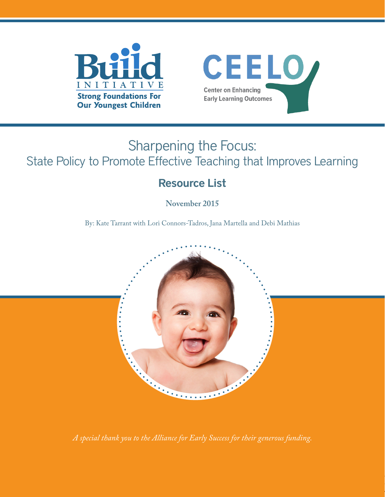



# Sharpening the Focus: State Policy to Promote Effective Teaching that Improves Learning

## Resource List

**November 2015**

By: Kate Tarrant with Lori Connors-Tadros, Jana Martella and Debi Mathias



*A special thank you to the Alliance for Early Success for their generous funding.*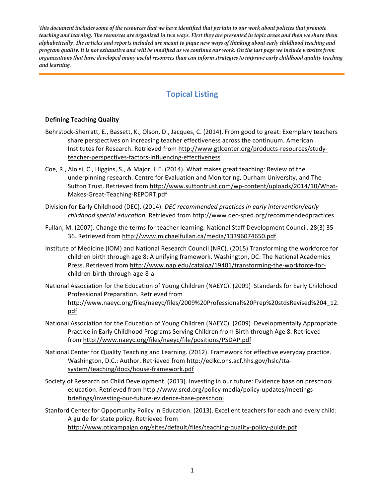**Tis document includes some of the resources that we have identifed that pertain to our work about policies that promote teaching and learning. Te resources are organized in two ways. First they are presented in topic areas and then we share them alphabetically. Te articles and reports included are meant to pique new ways of thinking about early childhood teaching and program quality. It is not exhaustive and will be modifed as we continue our work. On the last page we include websites from organizations that have developed many useful resources than can inform strategies to improve early childhood quality teaching and learning.** 

## **Topical Listing**

#### **Defining Teaching Quality**

- Behrstock-Sherratt, E., Bassett, K., Olson, D., Jacques, C. (2014). From good to great: Exemplary teachers share perspectives on increasing teacher effectiveness across the continuum. American Institutes for Research. Retrieved from http://www.gtlcenter.org/products-resources/studyteacher-perspectives-factors-influencing-effectiveness
- Coe, R., Aloisi, C., Higgins, S., & Major, L.E. (2014). What makes great teaching: Review of the underpinning research. Centre for Evaluation and Monitoring, Durham University, and The Sutton Trust. Retrieved from http://www.suttontrust.com/wp-content/uploads/2014/10/What-Makes-Great-Teaching-REPORT.pdf
- Division for Early Childhood (DEC). (2014). *DEC recommended practices in early intervention/early childhood special education.* Retrieved from http://www.dec-sped.org/recommendedpractices
- Fullan, M. (2007). Change the terms for teacher learning. National Staff Development Council. 28(3) 35- 36. Retrieved from http://www.michaelfullan.ca/media/13396074650.pdf
- Institute of Medicine (IOM) and National Research Council (NRC). (2015) Transforming the workforce for children birth through age 8: A unifying framework. Washington, DC: The National Academies Press. Retrieved from http://www.nap.edu/catalog/19401/transforming-the-workforce-forchildren-birth-through-age-8-a
- National Association for the Education of Young Children (NAEYC). (2009) Standards for Early Childhood Professional Preparation. Retrieved from http://www.naeyc.org/files/naeyc/files/2009%20Professional%20Prep%20stdsRevised%204\_12. pdf
- National Association for the Education of Young Children (NAEYC). (2009) Developmentally Appropriate Practice in Early Childhood Programs Serving Children from Birth through Age 8. Retrieved from http://www.naeyc.org/files/naeyc/file/positions/PSDAP.pdf
- National Center for Quality Teaching and Learning. (2012). Framework for effective everyday practice. Washington, D.C.: Author. Retrieved from http://eclkc.ohs.acf.hhs.gov/hslc/ttasystem/teaching/docs/house-framework.pdf
- Society of Research on Child Development. (2013). Investing in our future: Evidence base on preschool education. Retrieved from http://www.srcd.org/policy-media/policy-updates/meetingsbriefings/investing-our-future-evidence-base-preschool
- Stanford Center for Opportunity Policy in Education. (2013). Excellent teachers for each and every child: A guide for state policy. Retrieved from http://www.otlcampaign.org/sites/default/files/teaching-quality-policy-guide.pdf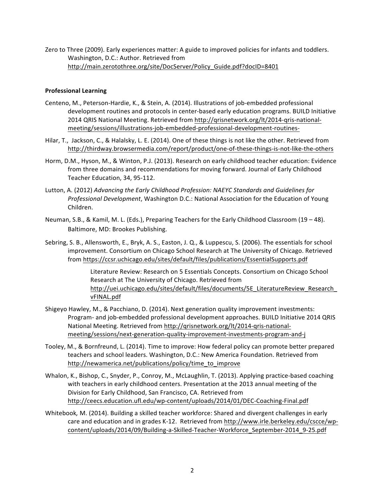Zero to Three (2009). Early experiences matter: A guide to improved policies for infants and toddlers. Washington, D.C.: Author. Retrieved from http://main.zerotothree.org/site/DocServer/Policy\_Guide.pdf?docID=8401

#### **Professional Learning**

- Centeno, M., Peterson-Hardie, K., & Stein, A. (2014). Illustrations of job-embedded professional development routines and protocols in center-based early education programs. BUILD Initiative 2014 QRIS National Meeting. Retrieved from http://qrisnetwork.org/lt/2014-qris-nationalmeeting/sessions/illustrations-job-embedded-professional-development-routines-
- Hilar, T., Jackson, C., & Halalsky, L. E. (2014). One of these things is not like the other. Retrieved from http://thirdway.browsermedia.com/report/product/one-of-these-things-is-not-like-the-others
- Horm, D.M., Hyson, M., & Winton, P.J. (2013). Research on early childhood teacher education: Evidence from three domains and recommendations for moving forward. Journal of Early Childhood Teacher Education, 34, 95-112.
- Lutton, A. (2012) *Advancing the Early Childhood Profession:* NAEYC Standards and Guidelines for *Professional Development*, Washington D.C.: National Association for the Education of Young Children.
- Neuman, S.B., & Kamil, M. L. (Eds.), Preparing Teachers for the Early Childhood Classroom (19 48). Baltimore, MD: Brookes Publishing.
- Sebring, S. B., Allensworth, E., Bryk, A. S., Easton, J. Q., & Luppescu, S. (2006). The essentials for school improvement. Consortium on Chicago School Research at The University of Chicago. Retrieved from https://ccsr.uchicago.edu/sites/default/files/publications/EssentialSupports.pdf

Literature Review: Research on 5 Essentials Concepts. Consortium on Chicago School Research at The University of Chicago. Retrieved from http://uei.uchicago.edu/sites/default/files/documents/5E\_LiteratureReview\_Research\_ vFINAL.pdf

- Shigeyo Hawley, M., & Pacchiano, D. (2014). Next generation quality improvement investments: Program- and job-embedded professional development approaches. BUILD Initiative 2014 QRIS National Meeting. Retrieved from http://qrisnetwork.org/lt/2014-qris-nationalmeeting/sessions/next-generation-quality-improvement-investments-program-and-j
- Tooley, M., & Bornfreund, L. (2014). Time to improve: How federal policy can promote better prepared teachers and school leaders. Washington, D.C.: New America Foundation. Retrieved from http://newamerica.net/publications/policy/time\_to\_improve
- Whalon, K., Bishop, C., Snyder, P., Conroy, M., McLaughlin, T. (2013). Applying practice-based coaching with teachers in early childhood centers. Presentation at the 2013 annual meeting of the Division for Early Childhood, San Francisco, CA. Retrieved from http://ceecs.education.ufl.edu/wp-content/uploads/2014/01/DEC-Coaching-Final.pdf
- Whitebook, M. (2014). Building a skilled teacher workforce: Shared and divergent challenges in early care and education and in grades K-12. Retrieved from http://www.irle.berkeley.edu/cscce/wpcontent/uploads/2014/09/Building-a-Skilled-Teacher-Workforce\_September-2014\_9-25.pdf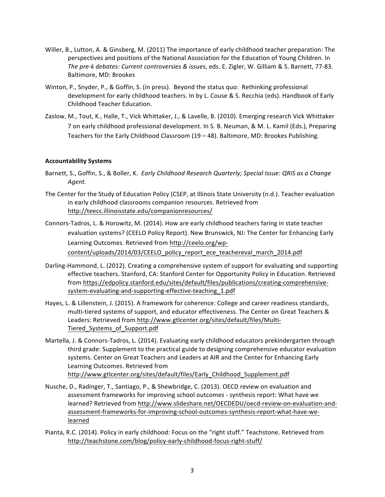- Willer, B., Lutton, A. & Ginsberg, M. (2011) The importance of early childhood teacher preparation: The perspectives and positions of the National Association for the Education of Young Children. In The pre-k debates: Current controversies & issues, eds. E. Zigler, W. Gilliam & S. Barnett, 77-83. Baltimore, MD: Brookes
- Winton, P., Snyder, P., & Goffin, S. (in press). Beyond the status quo: Rethinking professional development for early childhood teachers. In by L. Couse & S. Recchia (eds). Handbook of Early Childhood Teacher Education.
- Zaslow, M., Tout, K., Halle, T., Vick Whittaker, J., & Lavelle, B. (2010). Emerging research Vick Whittaker 7 on early childhood professional development. In S. B. Neuman, & M. L. Kamil (Eds.), Preparing Teachers for the Early Childhood Classroom (19 – 48). Baltimore, MD: Brookes Publishing.

#### **Accountability Systems**

- Barnett, S., Goffin, S., & Boller, K. *Early Childhood Research Quarterly; Special Issue: QRIS as a Change* Agent.
- The Center for the Study of Education Policy (CSEP, at Illinois State University (n.d.). Teacher evaluation in early childhood classrooms companion resources. Retrieved from http://teecc.illinoisstate.edu/companionresources/
- Connors-Tadros, L. & Horowitz, M. (2014). How are early childhood teachers faring in state teacher evaluation systems? (CEELO Policy Report). New Brunswick, NJ: The Center for Enhancing Early Learning Outcomes. Retrieved from http://ceelo.org/wpcontent/uploads/2014/03/CEELO\_policy\_report\_ece\_teachereval\_march\_2014.pdf
- Darling-Hammond, L. (2012). Creating a comprehensive system of support for evaluating and supporting effective teachers. Stanford, CA: Stanford Center for Opportunity Policy in Education. Retrieved from https://edpolicy.stanford.edu/sites/default/files/publications/creating-comprehensivesystem-evaluating-and-supporting-effective-teaching\_1.pdf
- Hayes, L. & Lillenstein, J. (2015). A framework for coherence: College and career readiness standards, multi-tiered systems of support, and educator effectiveness. The Center on Great Teachers & Leaders: Retrieved from http://www.gtlcenter.org/sites/default/files/Multi-Tiered\_Systems\_of\_Support.pdf
- Martella, J. & Connors-Tadros, L. (2014). Evaluating early childhood educators prekindergarten through third grade: Supplement to the practical guide to designing comprehensive educator evaluation systems. Center on Great Teachers and Leaders at AIR and the Center for Enhancing Early Learning Outcomes. Retrieved from http://www.gtlcenter.org/sites/default/files/Early\_Childhood\_Supplement.pdf
- Nusche, D., Radinger, T., Santiago, P., & Shewbridge, C. (2013). OECD review on evaluation and assessment frameworks for improving school outcomes - synthesis report: What have we learned? Retrieved from http://www.slideshare.net/OECDEDU/oecd-review-on-evaluation-andassessment-frameworks-for-improving-school-outcomes-synthesis-report-what-have-welearned
- Pianta, R.C. (2014). Policy in early childhood: Focus on the "right stuff." Teachstone. Retrieved from http://teachstone.com/blog/policy-early-childhood-focus-right-stuff/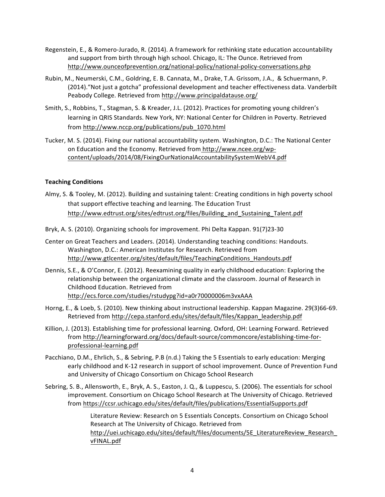- Regenstein, E., & Romero-Jurado, R. (2014). A framework for rethinking state education accountability and support from birth through high school. Chicago, IL: The Ounce. Retrieved from http://www.ounceofprevention.org/national-policy/national-policy-conversations.php
- Rubin, M., Neumerski, C.M., Goldring, E. B. Cannata, M., Drake, T.A. Grissom, J.A., & Schuermann, P. (2014)."Not just a gotcha" professional development and teacher effectiveness data. Vanderbilt Peabody College. Retrieved from http://www.principaldatause.org/
- Smith, S., Robbins, T., Stagman, S. & Kreader, J.L. (2012). Practices for promoting young children's learning in QRIS Standards. New York, NY: National Center for Children in Poverty. Retrieved from http://www.nccp.org/publications/pub\_1070.html
- Tucker, M. S. (2014). Fixing our national accountability system. Washington, D.C.: The National Center on Education and the Economy. Retrieved from http://www.ncee.org/wpcontent/uploads/2014/08/FixingOurNationalAccountabilitySystemWebV4.pdf

#### **Teaching Conditions**

- Almy, S. & Tooley, M. (2012). Building and sustaining talent: Creating conditions in high poverty school that support effective teaching and learning. The Education Trust http://www.edtrust.org/sites/edtrust.org/files/Building\_and\_Sustaining\_Talent.pdf
- Bryk, A. S. (2010). Organizing schools for improvement. Phi Delta Kappan. 91(7)23-30
- Center on Great Teachers and Leaders. (2014). Understanding teaching conditions: Handouts. Washington, D.C.: American Institutes for Research. Retrieved from http://www.gtlcenter.org/sites/default/files/TeachingConditions\_Handouts.pdf
- Dennis, S.E., & O'Connor, E. (2012). Reexamining quality in early childhood education: Exploring the relationship between the organizational climate and the classroom. Journal of Research in Childhood Education. Retrieved from http://ecs.force.com/studies/rstudypg?id=a0r70000006m3vxAAA
- Horng, E., & Loeb, S. (2010). New thinking about instructional leadership. Kappan Magazine. 29(3)66-69. Retrieved from http://cepa.stanford.edu/sites/default/files/Kappan\_leadership.pdf
- Killion, J. (2013). Establishing time for professional learning. Oxford, OH: Learning Forward. Retrieved from http://learningforward.org/docs/default-source/commoncore/establishing-time-forprofessional-learning.pdf
- Pacchiano, D.M., Ehrlich, S., & Sebring, P.B (n.d.) Taking the 5 Essentials to early education: Merging early childhood and K-12 research in support of school improvement. Ounce of Prevention Fund and University of Chicago Consortium on Chicago School Research
- Sebring, S. B., Allensworth, E., Bryk, A. S., Easton, J. Q., & Luppescu, S. (2006). The essentials for school improvement. Consortium on Chicago School Research at The University of Chicago. Retrieved from https://ccsr.uchicago.edu/sites/default/files/publications/EssentialSupports.pdf

Literature Review: Research on 5 Essentials Concepts. Consortium on Chicago School Research at The University of Chicago. Retrieved from http://uei.uchicago.edu/sites/default/files/documents/5E\_LiteratureReview\_Research\_ vFINAL.pdf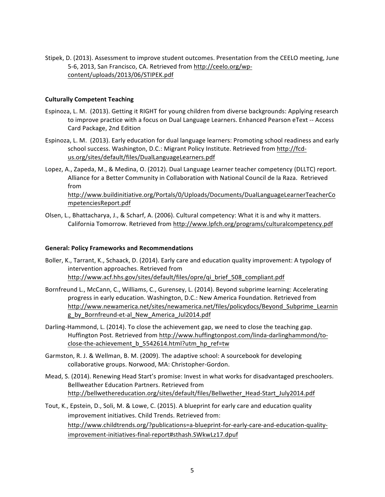Stipek, D. (2013). Assessment to improve student outcomes. Presentation from the CEELO meeting, June 5-6, 2013, San Francisco, CA. Retrieved from http://ceelo.org/wpcontent/uploads/2013/06/STIPEK.pdf

#### **Culturally Competent Teaching**

- Espinoza, L. M. (2013). Getting it RIGHT for young children from diverse backgrounds: Applying research to improve practice with a focus on Dual Language Learners. Enhanced Pearson eText -- Access Card Package, 2nd Edition
- Espinoza, L. M. (2013). Early education for dual language learners: Promoting school readiness and early school success. Washington, D.C.: Migrant Policy Institute. Retrieved from http://fcdus.org/sites/default/files/DualLanguageLearners.pdf
- Lopez, A., Zapeda, M., & Medina, O. (2012). Dual Language Learner teacher competency (DLLTC) report. Alliance for a Better Community in Collaboration with National Council de la Raza. Retrieved from http://www.buildinitiative.org/Portals/0/Uploads/Documents/DualLanguageLearnerTeacherCo mpetenciesReport.pdf
- Olsen, L., Bhattacharya, J., & Scharf, A. (2006). Cultural competency: What it is and why it matters. California Tomorrow. Retrieved from http://www.lpfch.org/programs/culturalcompetency.pdf

#### **General: Policy Frameworks and Recommendations**

- Boller, K., Tarrant, K., Schaack, D. (2014). Early care and education quality improvement: A typology of intervention approaches. Retrieved from http://www.acf.hhs.gov/sites/default/files/opre/qi\_brief\_508\_compliant.pdf
- Bornfreund L., McCann, C., Williams, C., Gurensey, L. (2014). Beyond subprime learning: Accelerating progress in early education. Washington, D.C.: New America Foundation. Retrieved from http://www.newamerica.net/sites/newamerica.net/files/policydocs/Beyond\_Subprime\_Learnin g\_by\_Bornfreund-et-al\_New\_America\_Jul2014.pdf
- Darling-Hammond, L. (2014). To close the achievement gap, we need to close the teaching gap. Huffington Post. Retrieved from http://www.huffingtonpost.com/linda-darlinghammond/toclose-the-achievement\_b\_5542614.html?utm\_hp\_ref=tw
- Garmston, R. J. & Wellman, B. M. (2009). The adaptive school: A sourcebook for developing collaborative groups. Norwood, MA: Christopher-Gordon.
- Mead, S. (2014). Renewing Head Start's promise: Invest in what works for disadvantaged preschoolers. Belllweather Education Partners. Retrieved from http://bellwethereducation.org/sites/default/files/Bellwether\_Head-Start\_July2014.pdf
- Tout, K., Epstein, D., Soli, M. & Lowe, C. (2015). A blueprint for early care and education quality improvement initiatives. Child Trends. Retrieved from: http://www.childtrends.org/?publications=a-blueprint-for-early-care-and-education-qualityimprovement-initiatives-final-report#sthash.SWkwLz17.dpuf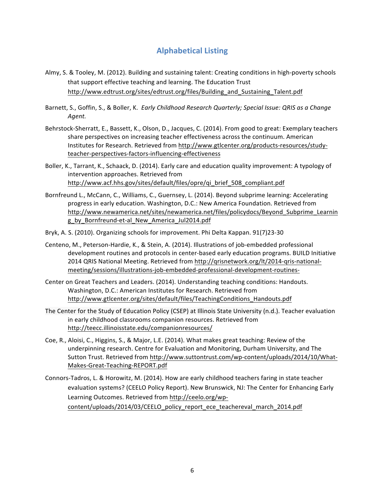### **Alphabetical Listing**

- Almy, S. & Tooley, M. (2012). Building and sustaining talent: Creating conditions in high-poverty schools that support effective teaching and learning. The Education Trust http://www.edtrust.org/sites/edtrust.org/files/Building\_and\_Sustaining\_Talent.pdf
- Barnett, S., Goffin, S., & Boller, K. *Early Childhood Research Quarterly; Special Issue: QRIS as a Change* Agent.
- Behrstock-Sherratt, E., Bassett, K., Olson, D., Jacques, C. (2014). From good to great: Exemplary teachers share perspectives on increasing teacher effectiveness across the continuum. American Institutes for Research. Retrieved from http://www.gtlcenter.org/products-resources/studyteacher-perspectives-factors-influencing-effectiveness
- Boller, K., Tarrant, K., Schaack, D. (2014). Early care and education quality improvement: A typology of intervention approaches. Retrieved from http://www.acf.hhs.gov/sites/default/files/opre/qi\_brief\_508\_compliant.pdf
- Bornfreund L., McCann, C., Williams, C., Guernsey, L. (2014). Beyond subprime learning: Accelerating progress in early education. Washington, D.C.: New America Foundation. Retrieved from http://www.newamerica.net/sites/newamerica.net/files/policydocs/Beyond\_Subprime\_Learnin g\_by\_Bornfreund-et-al\_New\_America\_Jul2014.pdf
- Bryk, A. S. (2010). Organizing schools for improvement. Phi Delta Kappan. 91(7)23-30
- Centeno, M., Peterson-Hardie, K., & Stein, A. (2014). Illustrations of job-embedded professional development routines and protocols in center-based early education programs. BUILD Initiative 2014 QRIS National Meeting. Retrieved from http://qrisnetwork.org/lt/2014-qris-nationalmeeting/sessions/illustrations-job-embedded-professional-development-routines-
- Center on Great Teachers and Leaders. (2014). Understanding teaching conditions: Handouts. Washington, D.C.: American Institutes for Research. Retrieved from http://www.gtlcenter.org/sites/default/files/TeachingConditions\_Handouts.pdf
- The Center for the Study of Education Policy (CSEP) at Illinois State University (n.d.). Teacher evaluation in early childhood classrooms companion resources. Retrieved from http://teecc.illinoisstate.edu/companionresources/
- Coe, R., Aloisi, C., Higgins, S., & Major, L.E. (2014). What makes great teaching: Review of the underpinning research. Centre for Evaluation and Monitoring, Durham University, and The Sutton Trust. Retrieved from http://www.suttontrust.com/wp-content/uploads/2014/10/What-Makes-Great-Teaching-REPORT.pdf
- Connors-Tadros, L. & Horowitz, M. (2014). How are early childhood teachers faring in state teacher evaluation systems? (CEELO Policy Report). New Brunswick, NJ: The Center for Enhancing Early Learning Outcomes. Retrieved from http://ceelo.org/wpcontent/uploads/2014/03/CEELO\_policy\_report\_ece\_teachereval\_march\_2014.pdf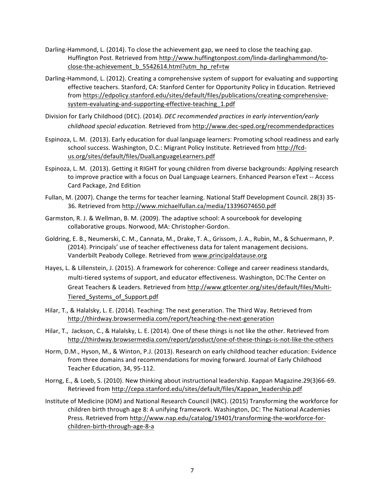- Darling-Hammond, L. (2014). To close the achievement gap, we need to close the teaching gap. Huffington Post. Retrieved from http://www.huffingtonpost.com/linda-darlinghammond/toclose-the-achievement\_b\_5542614.html?utm\_hp\_ref=tw
- Darling-Hammond, L. (2012). Creating a comprehensive system of support for evaluating and supporting effective teachers. Stanford, CA: Stanford Center for Opportunity Policy in Education. Retrieved from https://edpolicy.stanford.edu/sites/default/files/publications/creating-comprehensivesystem-evaluating-and-supporting-effective-teaching\_1.pdf
- Division for Early Childhood (DEC). (2014). *DEC recommended practices in early intervention/early childhood special education.* Retrieved from http://www.dec-sped.org/recommendedpractices
- Espinoza, L. M. (2013). Early education for dual language learners: Promoting school readiness and early school success. Washington, D.C.: Migrant Policy Institute. Retrieved from http://fcdus.org/sites/default/files/DualLanguageLearners.pdf
- Espinoza, L. M. (2013). Getting it RIGHT for young children from diverse backgrounds: Applying research to improve practice with a focus on Dual Language Learners. Enhanced Pearson eText -- Access Card Package, 2nd Edition
- Fullan, M. (2007). Change the terms for teacher learning. National Staff Development Council. 28(3) 35- 36. Retrieved from http://www.michaelfullan.ca/media/13396074650.pdf
- Garmston, R. J. & Wellman, B. M. (2009). The adaptive school: A sourcebook for developing collaborative groups. Norwood, MA: Christopher-Gordon.
- Goldring, E. B., Neumerski, C. M., Cannata, M., Drake, T. A., Grissom, J. A., Rubin, M., & Schuermann, P. (2014). Principals' use of teacher effectiveness data for talent management decisions. Vanderbilt Peabody College. Retrieved from www.principaldatause.org
- Hayes, L. & Lillenstein, J. (2015). A framework for coherence: College and career readiness standards, multi-tiered systems of support, and educator effectiveness. Washington, DC:The Center on Great Teachers & Leaders. Retrieved from http://www.gtlcenter.org/sites/default/files/Multi-Tiered\_Systems\_of\_Support.pdf
- Hilar, T., & Halalsky, L. E. (2014). Teaching: The next generation. The Third Way. Retrieved from http://thirdway.browsermedia.com/report/teaching-the-next-generation
- Hilar, T., Jackson, C., & Halalsky, L. E. (2014). One of these things is not like the other. Retrieved from http://thirdway.browsermedia.com/report/product/one-of-these-things-is-not-like-the-others
- Horm, D.M., Hyson, M., & Winton, P.J. (2013). Research on early childhood teacher education: Evidence from three domains and recommendations for moving forward. Journal of Early Childhood Teacher Education, 34, 95-112.
- Horng, E., & Loeb, S. (2010). New thinking about instructional leadership. Kappan Magazine.29(3)66-69. Retrieved from http://cepa.stanford.edu/sites/default/files/Kappan\_leadership.pdf
- Institute of Medicine (IOM) and National Research Council (NRC). (2015) Transforming the workforce for children birth through age 8: A unifying framework. Washington, DC: The National Academies Press. Retrieved from http://www.nap.edu/catalog/19401/transforming-the-workforce-forchildren-birth-through-age-8-a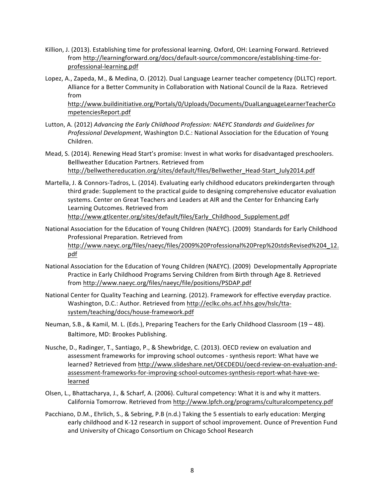- Killion, J. (2013). Establishing time for professional learning. Oxford, OH: Learning Forward. Retrieved from http://learningforward.org/docs/default-source/commoncore/establishing-time-forprofessional-learning.pdf
- Lopez, A., Zapeda, M., & Medina, O. (2012). Dual Language Learner teacher competency (DLLTC) report. Alliance for a Better Community in Collaboration with National Council de la Raza. Retrieved from http://www.buildinitiative.org/Portals/0/Uploads/Documents/DualLanguageLearnerTeacherCo

mpetenciesReport.pdf

- Lutton, A. (2012) *Advancing the Early Childhood Profession:* NAEYC Standards and Guidelines for *Professional Development*, Washington D.C.: National Association for the Education of Young Children.
- Mead, S. (2014). Renewing Head Start's promise: Invest in what works for disadvantaged preschoolers. Belllweather Education Partners. Retrieved from http://bellwethereducation.org/sites/default/files/Bellwether\_Head-Start\_July2014.pdf
- Martella, J. & Connors-Tadros, L. (2014). Evaluating early childhood educators prekindergarten through third grade: Supplement to the practical guide to designing comprehensive educator evaluation systems. Center on Great Teachers and Leaders at AIR and the Center for Enhancing Early Learning Outcomes. Retrieved from http://www.gtlcenter.org/sites/default/files/Early\_Childhood\_Supplement.pdf
- National Association for the Education of Young Children (NAEYC). (2009) Standards for Early Childhood Professional Preparation. Retrieved from http://www.naeyc.org/files/naeyc/files/2009%20Professional%20Prep%20stdsRevised%204\_12. pdf
- National Association for the Education of Young Children (NAEYC). (2009) Developmentally Appropriate Practice in Early Childhood Programs Serving Children from Birth through Age 8. Retrieved from http://www.naeyc.org/files/naeyc/file/positions/PSDAP.pdf
- National Center for Quality Teaching and Learning. (2012). Framework for effective everyday practice. Washington, D.C.: Author. Retrieved from http://eclkc.ohs.acf.hhs.gov/hslc/ttasystem/teaching/docs/house-framework.pdf
- Neuman, S.B., & Kamil, M. L. (Eds.), Preparing Teachers for the Early Childhood Classroom (19 48). Baltimore, MD: Brookes Publishing.
- Nusche, D., Radinger, T., Santiago, P., & Shewbridge, C. (2013). OECD review on evaluation and assessment frameworks for improving school outcomes - synthesis report: What have we learned? Retrieved from http://www.slideshare.net/OECDEDU/oecd-review-on-evaluation-andassessment-frameworks-for-improving-school-outcomes-synthesis-report-what-have-welearned
- Olsen, L., Bhattacharya, J., & Scharf, A. (2006). Cultural competency: What it is and why it matters. California Tomorrow. Retrieved from http://www.lpfch.org/programs/culturalcompetency.pdf
- Pacchiano, D.M., Ehrlich, S., & Sebring, P.B (n.d.) Taking the 5 essentials to early education: Merging early childhood and K-12 research in support of school improvement. Ounce of Prevention Fund and University of Chicago Consortium on Chicago School Research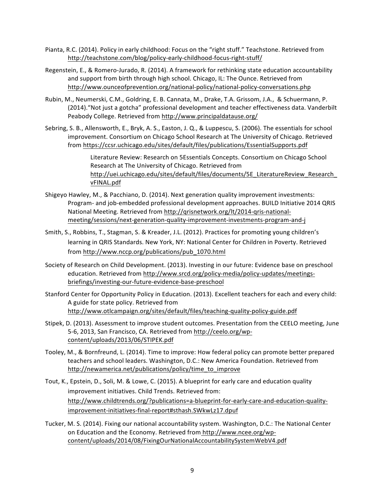- Pianta, R.C. (2014). Policy in early childhood: Focus on the "right stuff." Teachstone. Retrieved from http://teachstone.com/blog/policy-early-childhood-focus-right-stuff/
- Regenstein, E., & Romero-Jurado, R. (2014). A framework for rethinking state education accountability and support from birth through high school. Chicago, IL: The Ounce. Retrieved from http://www.ounceofprevention.org/national-policy/national-policy-conversations.php
- Rubin, M., Neumerski, C.M., Goldring, E. B. Cannata, M., Drake, T.A. Grissom, J.A., & Schuermann, P. (2014)."Not just a gotcha" professional development and teacher effectiveness data. Vanderbilt Peabody College. Retrieved from http://www.principaldatause.org/
- Sebring, S. B., Allensworth, E., Bryk, A. S., Easton, J. Q., & Luppescu, S. (2006). The essentials for school improvement. Consortium on Chicago School Research at The University of Chicago. Retrieved from https://ccsr.uchicago.edu/sites/default/files/publications/EssentialSupports.pdf

Literature Review: Research on 5Essentials Concepts. Consortium on Chicago School Research at The University of Chicago. Retrieved from http://uei.uchicago.edu/sites/default/files/documents/5E\_LiteratureReview\_Research\_ vFINAL.pdf

- Shigeyo Hawley, M., & Pacchiano, D. (2014). Next generation quality improvement investments: Program- and job-embedded professional development approaches. BUILD Initiative 2014 QRIS National Meeting. Retrieved from http://qrisnetwork.org/lt/2014-qris-nationalmeeting/sessions/next-generation-quality-improvement-investments-program-and-j
- Smith, S., Robbins, T., Stagman, S. & Kreader, J.L. (2012). Practices for promoting young children's learning in QRIS Standards. New York, NY: National Center for Children in Poverty. Retrieved from http://www.nccp.org/publications/pub\_1070.html
- Society of Research on Child Development. (2013). Investing in our future: Evidence base on preschool education. Retrieved from http://www.srcd.org/policy-media/policy-updates/meetingsbriefings/investing-our-future-evidence-base-preschool
- Stanford Center for Opportunity Policy in Education. (2013). Excellent teachers for each and every child: A guide for state policy. Retrieved from http://www.otlcampaign.org/sites/default/files/teaching-quality-policy-guide.pdf
- Stipek, D. (2013). Assessment to improve student outcomes. Presentation from the CEELO meeting, June 5-6, 2013, San Francisco, CA. Retrieved from http://ceelo.org/wpcontent/uploads/2013/06/STIPEK.pdf
- Tooley, M., & Bornfreund, L. (2014). Time to improve: How federal policy can promote better prepared teachers and school leaders. Washington, D.C.: New America Foundation. Retrieved from http://newamerica.net/publications/policy/time\_to\_improve
- Tout, K., Epstein, D., Soli, M. & Lowe, C. (2015). A blueprint for early care and education quality improvement initiatives. Child Trends. Retrieved from: http://www.childtrends.org/?publications=a-blueprint-for-early-care-and-education-qualityimprovement-initiatives-final-report#sthash.SWkwLz17.dpuf
- Tucker, M. S. (2014). Fixing our national accountability system. Washington, D.C.: The National Center on Education and the Economy. Retrieved from http://www.ncee.org/wpcontent/uploads/2014/08/FixingOurNationalAccountabilitySystemWebV4.pdf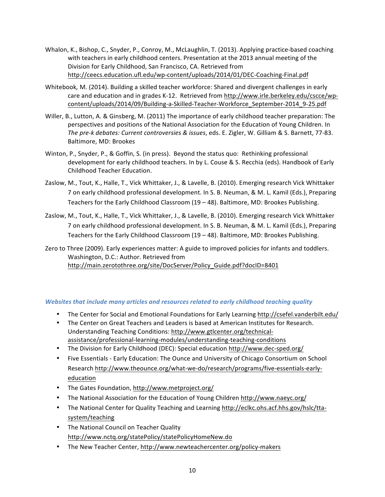- Whalon, K., Bishop, C., Snyder, P., Conroy, M., McLaughlin, T. (2013). Applying practice-based coaching with teachers in early childhood centers. Presentation at the 2013 annual meeting of the Division for Early Childhood, San Francisco, CA. Retrieved from http://ceecs.education.ufl.edu/wp-content/uploads/2014/01/DEC-Coaching-Final.pdf
- Whitebook, M. (2014). Building a skilled teacher workforce: Shared and divergent challenges in early care and education and in grades K-12. Retrieved from http://www.irle.berkeley.edu/cscce/wpcontent/uploads/2014/09/Building-a-Skilled-Teacher-Workforce\_September-2014\_9-25.pdf
- Willer, B., Lutton, A. & Ginsberg, M. (2011) The importance of early childhood teacher preparation: The perspectives and positions of the National Association for the Education of Young Children. In The pre-k debates: Current controversies & issues, eds. E. Zigler, W. Gilliam & S. Barnett, 77-83. Baltimore, MD: Brookes
- Winton, P., Snyder, P., & Goffin, S. (in press). Beyond the status quo: Rethinking professional development for early childhood teachers. In by L. Couse & S. Recchia (eds). Handbook of Early Childhood Teacher Education.
- Zaslow, M., Tout, K., Halle, T., Vick Whittaker, J., & Lavelle, B. (2010). Emerging research Vick Whittaker 7 on early childhood professional development. In S. B. Neuman, & M. L. Kamil (Eds.), Preparing Teachers for the Early Childhood Classroom (19 – 48). Baltimore, MD: Brookes Publishing.
- Zaslow, M., Tout, K., Halle, T., Vick Whittaker, J., & Lavelle, B. (2010). Emerging research Vick Whittaker 7 on early childhood professional development. In S. B. Neuman, & M. L. Kamil (Eds.), Preparing Teachers for the Early Childhood Classroom (19 – 48). Baltimore, MD: Brookes Publishing.

Zero to Three (2009). Early experiences matter: A guide to improved policies for infants and toddlers. Washington, D.C.: Author. Retrieved from http://main.zerotothree.org/site/DocServer/Policy\_Guide.pdf?docID=8401

#### *Websites that include many articles and resources related to early childhood teaching quality*

- The Center for Social and Emotional Foundations for Early Learning http://csefel.vanderbilt.edu/
- The Center on Great Teachers and Leaders is based at American Institutes for Research. Understanding Teaching Conditions: http://www.gtlcenter.org/technicalassistance/professional-learning-modules/understanding-teaching-conditions
- The Division for Early Childhood (DEC): Special education http://www.dec-sped.org/
- Five Essentials Early Education: The Ounce and University of Chicago Consortium on School Research http://www.theounce.org/what-we-do/research/programs/five-essentials-earlyeducation
- The Gates Foundation, http://www.metproject.org/
- The National Association for the Education of Young Children http://www.naeyc.org/
- The National Center for Quality Teaching and Learning http://eclkc.ohs.acf.hhs.gov/hslc/ttasystem/teaching
- The National Council on Teacher Quality http://www.nctq.org/statePolicy/statePolicyHomeNew.do
- The New Teacher Center, http://www.newteachercenter.org/policy-makers